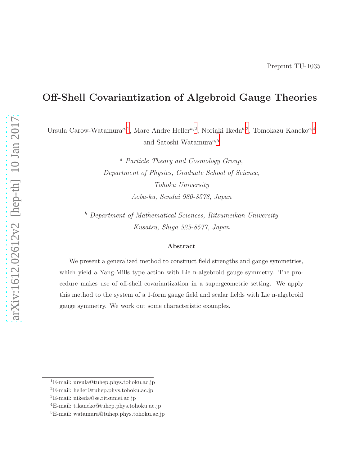# Off-Shell Covariantization of Algebroid Gauge Theories

Ursula Carow-Watamura<sup>a, [1](#page-0-0)</sup>, Marc Andre Heller<sup>a, [2](#page-0-1)</sup>, Noriaki Ikeda<sup>b, [3](#page-0-2)</sup>, Tomokazu Kaneko<sup>a, [4](#page-0-3)</sup> and Satoshi Watamura $a$ , [5](#page-0-4)

> <sup>a</sup> Particle Theory and Cosmology Group, Department of Physics, Graduate School of Science, Tohoku University Aoba-ku, Sendai 980-8578, Japan

 $b$  Department of Mathematical Sciences, Ritsumeikan University Kusatsu, Shiga 525-8577, Japan

#### Abstract

We present a generalized method to construct field strengths and gauge symmetries, which yield a Yang-Mills type action with Lie n-algebroid gauge symmetry. The procedure makes use of off-shell covariantization in a supergeometric setting. We apply this method to the system of a 1-form gauge field and scalar fields with Lie n-algebroid gauge symmetry. We work out some characteristic examples.

<sup>1</sup>E-mail: ursula@tuhep.phys.tohoku.ac.jp

<span id="page-0-0"></span><sup>2</sup>E-mail: heller@tuhep.phys.tohoku.ac.jp

<span id="page-0-1"></span><sup>3</sup>E-mail: nikeda@se.ritsumei.ac.jp

<span id="page-0-2"></span><sup>4</sup>E-mail: t kaneko@tuhep.phys.tohoku.ac.jp

<span id="page-0-4"></span><span id="page-0-3"></span><sup>5</sup>E-mail: watamura@tuhep.phys.tohoku.ac.jp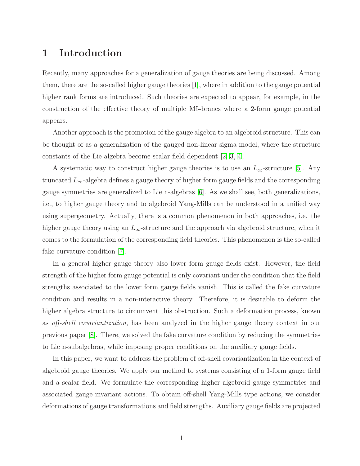## 1 Introduction

Recently, many approaches for a generalization of gauge theories are being discussed. Among them, there are the so-called higher gauge theories [\[1\]](#page-21-0), where in addition to the gauge potential higher rank forms are introduced. Such theories are expected to appear, for example, in the construction of the effective theory of multiple M5-branes where a 2-form gauge potential appears.

Another approach is the promotion of the gauge algebra to an algebroid structure. This can be thought of as a generalization of the gauged non-linear sigma model, where the structure constants of the Lie algebra become scalar field dependent [\[2,](#page-21-1) [3,](#page-21-2) [4\]](#page-21-3).

A systematic way to construct higher gauge theories is to use an  $L_{\infty}$ -structure [\[5\]](#page-21-4). Any truncated  $L_{\infty}$ -algebra defines a gauge theory of higher form gauge fields and the corresponding gauge symmetries are generalized to Lie n-algebras [\[6\]](#page-21-5). As we shall see, both generalizations, i.e., to higher gauge theory and to algebroid Yang-Mills can be understood in a unified way using supergeometry. Actually, there is a common phenomenon in both approaches, i.e. the higher gauge theory using an  $L_{\infty}$ -structure and the approach via algebroid structure, when it comes to the formulation of the corresponding field theories. This phenomenon is the so-called fake curvature condition [\[7\]](#page-22-0).

In a general higher gauge theory also lower form gauge fields exist. However, the field strength of the higher form gauge potential is only covariant under the condition that the field strengths associated to the lower form gauge fields vanish. This is called the fake curvature condition and results in a non-interactive theory. Therefore, it is desirable to deform the higher algebra structure to circumvent this obstruction. Such a deformation process, known as off-shell covariantization, has been analyzed in the higher gauge theory context in our previous paper [\[8\]](#page-22-1). There, we solved the fake curvature condition by reducing the symmetries to Lie n-subalgebras, while imposing proper conditions on the auxiliary gauge fields.

In this paper, we want to address the problem of off-shell covariantization in the context of algebroid gauge theories. We apply our method to systems consisting of a 1-form gauge field and a scalar field. We formulate the corresponding higher algebroid gauge symmetries and associated gauge invariant actions. To obtain off-shell Yang-Mills type actions, we consider deformations of gauge transformations and field strengths. Auxiliary gauge fields are projected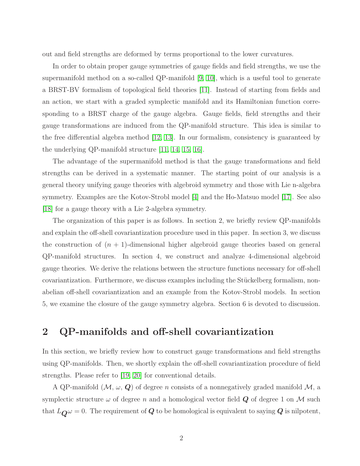out and field strengths are deformed by terms proportional to the lower curvatures.

In order to obtain proper gauge symmetries of gauge fields and field strengths, we use the supermanifold method on a so-called QP-manifold [\[9,](#page-22-2) [10\]](#page-22-3), which is a useful tool to generate a BRST-BV formalism of topological field theories [\[11\]](#page-22-4). Instead of starting from fields and an action, we start with a graded symplectic manifold and its Hamiltonian function corresponding to a BRST charge of the gauge algebra. Gauge fields, field strengths and their gauge transformations are induced from the QP-manifold structure. This idea is similar to the free differential algebra method  $(12, 13)$ . In our formalism, consistency is guaranteed by the underlying QP-manifold structure [\[11,](#page-22-4) [14,](#page-22-7) [15,](#page-22-8) [16\]](#page-22-9).

The advantage of the supermanifold method is that the gauge transformations and field strengths can be derived in a systematic manner. The starting point of our analysis is a general theory unifying gauge theories with algebroid symmetry and those with Lie n-algebra symmetry. Examples are the Kotov-Strobl model [\[4\]](#page-21-3) and the Ho-Matsuo model [\[17\]](#page-23-0). See also [\[18\]](#page-23-1) for a gauge theory with a Lie 2-algebra symmetry.

The organization of this paper is as follows. In section 2, we briefly review QP-manifolds and explain the off-shell covariantization procedure used in this paper. In section 3, we discuss the construction of  $(n + 1)$ -dimensional higher algebroid gauge theories based on general QP-manifold structures. In section 4, we construct and analyze 4-dimensional algebroid gauge theories. We derive the relations between the structure functions necessary for off-shell covariantization. Furthermore, we discuss examples including the Stückelberg formalism, nonabelian off-shell covariantization and an example from the Kotov-Strobl models. In section 5, we examine the closure of the gauge symmetry algebra. Section 6 is devoted to discussion.

## 2 QP-manifolds and off-shell covariantization

In this section, we briefly review how to construct gauge transformations and field strengths using QP-manifolds. Then, we shortly explain the off-shell covariantization procedure of field strengths. Please refer to [\[19,](#page-23-2) [20\]](#page-23-3) for conventional details.

A QP-manifold  $(M, \omega, \mathbf{Q})$  of degree n consists of a nonnegatively graded manifold M, a symplectic structure  $\omega$  of degree n and a homological vector field  $\boldsymbol{Q}$  of degree 1 on M such that  $L_{\mathbf{Q}}\omega = 0$ . The requirement of  $\mathbf{Q}$  to be homological is equivalent to saying  $\mathbf{Q}$  is nilpotent,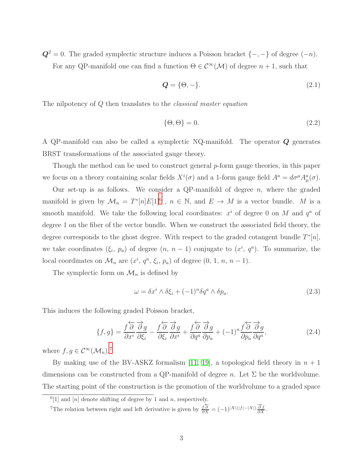$Q^2 = 0$ . The graded symplectic structure induces a Poisson bracket  $\{-, -\}$  of degree  $(-n)$ . For any QP-manifold one can find a function  $\Theta \in C^{\infty}(\mathcal{M})$  of degree  $n + 1$ , such that

$$
\mathbf{Q} = \{ \Theta, - \}. \tag{2.1}
$$

The nilpotency of Q then translates to the *classical master equation* 

$$
\{\Theta, \Theta\} = 0. \tag{2.2}
$$

A QP-manifold can also be called a symplectic NQ-manifold. The operator Q generates BRST transformations of the associated gauge theory.

Though the method can be used to construct general p-form gauge theories, in this paper we focus on a theory containing scalar fields  $X^{i}(\sigma)$  and a 1-form gauge field  $A^{a} = d\sigma^{\mu} A^{a}_{\mu}(\sigma)$ .

Our set-up is as follows. We consider a QP-manifold of degree  $n$ , where the graded manifold is given by  $\mathcal{M}_n = T^*[n]E[1]^6$  $\mathcal{M}_n = T^*[n]E[1]^6$ ,  $n \in \mathbb{N}$ , and  $E \to M$  is a vector bundle. M is a smooth manifold. We take the following local coordinates:  $x^i$  of degree 0 on M and  $q^a$  of degree 1 on the fiber of the vector bundle. When we construct the associated field theory, the degree corresponds to the ghost degree. With respect to the graded cotangent bundle  $T^*[n]$ , we take coordinates  $(\xi_i, p_a)$  of degree  $(n, n-1)$  conjugate to  $(x^i, q^a)$ . To summarize, the local coordinates on  $\mathcal{M}_n$  are  $(x^i, q^a, \xi_i, p_a)$  of degree  $(0, 1, n, n-1)$ .

The symplectic form on  $\mathcal{M}_n$  is defined by

$$
\omega = \delta x^i \wedge \delta \xi_i + (-1)^n \delta q^a \wedge \delta p_a. \tag{2.3}
$$

This induces the following graded Poisson bracket,

$$
\{f,g\} = \frac{f\overleftarrow{\partial}}{\frac{\partial}{\partial x^i}}\frac{\partial}{\partial \xi_i} - \frac{f\overleftarrow{\partial}}{\frac{\partial}{\partial \xi_i}}\frac{\partial}{\partial x^i} + \frac{f\overleftarrow{\partial}}{\frac{\partial q^a}{\partial p_a}}\frac{\partial}{\partial p_a} + (-1)^n \frac{f\overleftarrow{\partial}}{\frac{\partial}{\partial p_a}}\frac{\partial}{\partial q^a},\tag{2.4}
$$

where  $f, g \in C^{\infty}(\mathcal{M}_n)$ .<sup>[7](#page-3-1)</sup>

By making use of the BV-ASKZ formalism [\[11,](#page-22-4) [19\]](#page-23-2), a topological field theory in  $n + 1$ dimensions can be constructed from a QP-manifold of degree n. Let  $\Sigma$  be the worldvolume. The starting point of the construction is the promotion of the worldvolume to a graded space

 $^{6}[1]$  and [n] denote shifting of degree by 1 and n, respectively.

<span id="page-3-1"></span><span id="page-3-0"></span><sup>&</sup>lt;sup>7</sup>The relation between right and left derivative is given by  $\frac{f}{\partial X} = (-1)^{|X|(|f|-|X|)} \frac{\partial f}{\partial X}$ .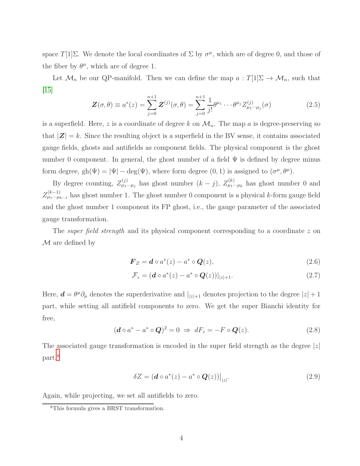space  $T[1]\Sigma$ . We denote the local coordinates of  $\Sigma$  by  $\sigma^{\mu}$ , which are of degree 0, and those of the fiber by  $\theta^{\mu}$ , which are of degree 1.

Let  $\mathcal{M}_n$  be our QP-manifold. Then we can define the map  $a: T[1]\Sigma \to \mathcal{M}_n$ , such that [\[15\]](#page-22-8)

$$
\mathbf{Z}(\sigma,\theta) \equiv a^*(z) = \sum_{j=0}^{n+1} \mathbf{Z}^{(j)}(\sigma,\theta) = \sum_{j=0}^{n+1} \frac{1}{j!} \theta^{\mu_1} \cdots \theta^{\mu_j} Z^{(j)}_{\mu_1 \cdots \mu_j}(\sigma)
$$
(2.5)

is a superfield. Here, z is a coordinate of degree k on  $\mathcal{M}_n$ . The map a is degree-preserving so that  $|\mathbf{Z}| = k$ . Since the resulting object is a superfield in the BV sense, it contains associated gauge fields, ghosts and antifields as component fields. The physical component is the ghost number 0 component. In general, the ghost number of a field  $\Psi$  is defined by degree minus form degree,  $gh(\Psi) = |\Psi| - deg(\Psi)$ , where form degree  $(0, 1)$  is assigned to  $(\sigma^{\mu}, \theta^{\mu})$ .

By degree counting,  $Z^{(j)}_{\mu_1\cdots\mu_j}$  has ghost number  $(k-j)$ ,  $Z^{(k)}_{\mu_1\cdots\mu_k}$  has ghost number 0 and  $Z_{\mu_1\cdots\mu_{k-1}}^{(k-1)}$  has ghost number 1. The ghost number 0 component is a physical k-form gauge field and the ghost number 1 component its FP ghost, i.e., the gauge parameter of the associated gauge transformation.

The *super field strength* and its physical component corresponding to a coordinate z on  $\mathcal M$  are defined by

$$
\boldsymbol{F}_Z = \boldsymbol{d} \circ a^*(z) - a^* \circ \boldsymbol{Q}(z),\tag{2.6}
$$

$$
\mathcal{F}_z = (\boldsymbol{d} \circ a^*(z) - a^* \circ \boldsymbol{Q}(z))|_{|z|+1}.
$$
\n(2.7)

Here,  $\mathbf{d} = \theta^{\mu} \partial_{\mu}$  denotes the superderivative and  $|z|+1$  denotes projection to the degree  $|z|+1$ part, while setting all antifield components to zero. We get the super Bianchi identity for free,

<span id="page-4-1"></span>
$$
(\mathbf{d} \circ a^* - a^* \circ \mathbf{Q})^2 = 0 \Rightarrow dF_z = -F \circ \mathbf{Q}(z). \tag{2.8}
$$

The associated gauge transformation is encoded in the super field strength as the degree  $|z|$ part,[8](#page-4-0)

<span id="page-4-2"></span>
$$
\delta Z = \left( \mathbf{d} \circ a^*(z) - a^* \circ \mathbf{Q}(z) \right)|_{|z|}.
$$
\n(2.9)

Again, while projecting, we set all antifields to zero.

<span id="page-4-0"></span><sup>8</sup>This formula gives a BRST transformation.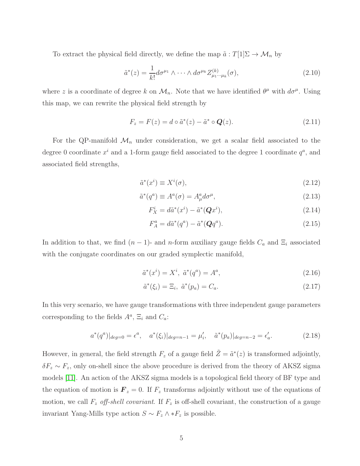To extract the physical field directly, we define the map  $\tilde{a}: T[1]\Sigma \to \mathcal{M}_n$  by

$$
\tilde{a}^*(z) = \frac{1}{k!} d\sigma^{\mu_1} \wedge \dots \wedge d\sigma^{\mu_k} Z^{(k)}_{\mu_1 \cdots \mu_k}(\sigma), \qquad (2.10)
$$

where z is a coordinate of degree k on  $\mathcal{M}_n$ . Note that we have identified  $\theta^{\mu}$  with  $d\sigma^{\mu}$ . Using this map, we can rewrite the physical field strength by

<span id="page-5-0"></span>
$$
F_z = F(z) = d \circ \tilde{a}^*(z) - \tilde{a}^* \circ \mathbf{Q}(z). \tag{2.11}
$$

For the QP-manifold  $\mathcal{M}_n$  under consideration, we get a scalar field associated to the degree 0 coordinate  $x^i$  and a 1-form gauge field associated to the degree 1 coordinate  $q^a$ , and associated field strengths,

$$
\tilde{a}^*(x^i) \equiv X^i(\sigma),\tag{2.12}
$$

$$
\tilde{a}^*(q^a) \equiv A^a(\sigma) = A^a_\mu d\sigma^\mu,\tag{2.13}
$$

$$
F_X^i = d\tilde{a}^*(x^i) - \tilde{a}^*(\mathbf{Q}x^i),\tag{2.14}
$$

$$
F_A^a = d\tilde{a}^*(q^a) - \tilde{a}^*(\mathbf{Q}q^a). \tag{2.15}
$$

In addition to that, we find  $(n-1)$ - and n-form auxiliary gauge fields  $C_a$  and  $\Xi_i$  associated with the conjugate coordinates on our graded symplectic manifold,

$$
\tilde{a}^*(x^i) = X^i, \ \tilde{a}^*(q^a) = A^a,\tag{2.16}
$$

$$
\tilde{a}^*(\xi_i) = \Xi_i, \quad \tilde{a}^*(p_a) = C_a. \tag{2.17}
$$

In this very scenario, we have gauge transformations with three independent gauge parameters corresponding to the fields  $A^a$ ,  $\Xi_i$  and  $C_a$ :

$$
a^*(q^a)|_{deg=0} = \epsilon^a, \quad a^*(\xi_i)|_{deg=n-1} = \mu'_i, \quad \tilde{a}^*(p_a)|_{deg=n-2} = \epsilon'_a. \tag{2.18}
$$

However, in general, the field strength  $F_z$  of a gauge field  $\tilde{Z} = \tilde{a}^*(z)$  is transformed adjointly,  $\delta F_z \sim F_z$ , only on-shell since the above procedure is derived from the theory of AKSZ sigma models [\[11\]](#page-22-4). An action of the AKSZ sigma models is a topological field theory of BF type and the equation of motion is  $\mathbf{F}_z = 0$ . If  $F_z$  transforms adjointly without use of the equations of motion, we call  $F_z$  off-shell covariant. If  $F_z$  is off-shell covariant, the construction of a gauge invariant Yang-Mills type action  $S \sim F_z \wedge *F_z$  is possible.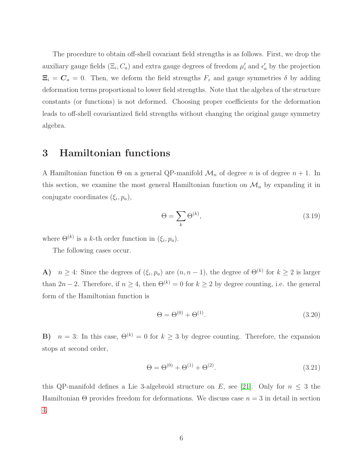The procedure to obtain off-shell covariant field strengths is as follows. First, we drop the auxiliary gauge fields  $(\Xi_i, C_a)$  and extra gauge degrees of freedom  $\mu'_i$  and  $\epsilon'_a$  by the projection  $\Xi_i = C_a = 0$ . Then, we deform the field strengths  $F_z$  and gauge symmetries  $\delta$  by adding deformation terms proportional to lower field strengths. Note that the algebra of the structure constants (or functions) is not deformed. Choosing proper coefficients for the deformation leads to off-shell covariantized field strengths without changing the original gauge symmetry algebra.

# 3 Hamiltonian functions

A Hamiltonian function  $\Theta$  on a general QP-manifold  $\mathcal{M}_n$  of degree n is of degree  $n+1$ . In this section, we examine the most general Hamiltonian function on  $\mathcal{M}_n$  by expanding it in conjugate coordinates  $(\xi_i, p_a)$ ,

$$
\Theta = \sum_{k} \Theta^{(k)},\tag{3.19}
$$

where  $\Theta^{(k)}$  is a k-th order function in  $(\xi_i, p_a)$ .

The following cases occur.

A)  $n \geq 4$ : Since the degrees of  $(\xi_i, p_a)$  are  $(n, n-1)$ , the degree of  $\Theta^{(k)}$  for  $k \geq 2$  is larger than 2n − 2. Therefore, if  $n \geq 4$ , then  $\Theta^{(k)} = 0$  for  $k \geq 2$  by degree counting, i.e. the general form of the Hamiltonian function is

$$
\Theta = \Theta^{(0)} + \Theta^{(1)}.\tag{3.20}
$$

B)  $n = 3$ : In this case,  $\Theta^{(k)} = 0$  for  $k \geq 3$  by degree counting. Therefore, the expansion stops at second order,

$$
\Theta = \Theta^{(0)} + \Theta^{(1)} + \Theta^{(2)}.
$$
\n(3.21)

this QP-manifold defines a Lie 3-algebroid structure on E, see [\[21\]](#page-23-4). Only for  $n \leq 3$  the Hamiltonian Θ provides freedom for deformations. We discuss case  $n = 3$  in detail in section [4.](#page-9-0)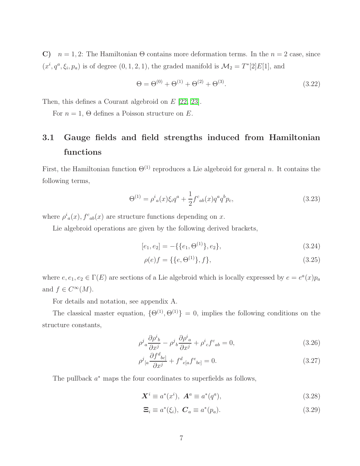C)  $n = 1, 2$ : The Hamiltonian  $\Theta$  contains more deformation terms. In the  $n = 2$  case, since  $(x^i, q^a, \xi_i, p_a)$  is of degree  $(0, 1, 2, 1)$ , the graded manifold is  $\mathcal{M}_2 = T^*[2]E[1]$ , and

$$
\Theta = \Theta^{(0)} + \Theta^{(1)} + \Theta^{(2)} + \Theta^{(3)}.
$$
\n(3.22)

Then, this defines a Courant algebroid on E [\[22,](#page-23-5) [23\]](#page-23-6).

For  $n = 1$ ,  $\Theta$  defines a Poisson structure on E.

# 3.1 Gauge fields and field strengths induced from Hamiltonian functions

First, the Hamiltonian function  $\Theta^{(1)}$  reproduces a Lie algebroid for general n. It contains the following terms,

$$
\Theta^{(1)} = \rho^i{}_a(x)\xi_i q^a + \frac{1}{2}f^c{}_{ab}(x)q^a q^b p_c,\tag{3.23}
$$

where  $\rho^i_{a}(x)$ ,  $f^c_{ab}(x)$  are structure functions depending on x.

Lie algebroid operations are given by the following derived brackets,

$$
[e_1, e_2] = -\{\{e_1, \Theta^{(1)}\}, e_2\},\tag{3.24}
$$

$$
\rho(e)f = \{\{e, \Theta^{(1)}\}, f\},\tag{3.25}
$$

where  $e, e_1, e_2 \in \Gamma(E)$  are sections of a Lie algebroid which is locally expressed by  $e = e^a(x)p_a$ and  $f \in C^{\infty}(M)$ .

For details and notation, see appendix A.

The classical master equation,  $\{\Theta^{(1)}, \Theta^{(1)}\} = 0$ , implies the following conditions on the structure constants,

$$
\rho^j{}_a \frac{\partial \rho^i{}_b}{\partial x^j} - \rho^j{}_b \frac{\partial \rho^i{}_a}{\partial x^j} + \rho^i{}_c f^c{}_{ab} = 0,\tag{3.26}
$$

$$
\rho^j\left[a\frac{\partial f^d{}_{bc}}{\partial x^j} + f^d{}_{e[a}f^e{}_{bc]} = 0.\right] \tag{3.27}
$$

The pullback  $a^*$  maps the four coordinates to superfields as follows,

$$
\mathbf{X}^i \equiv a^*(x^i), \ \mathbf{A}^a \equiv a^*(q^a), \tag{3.28}
$$

$$
\Xi_i \equiv a^*(\xi_i), \ \mathbf{C}_a \equiv a^*(p_a). \tag{3.29}
$$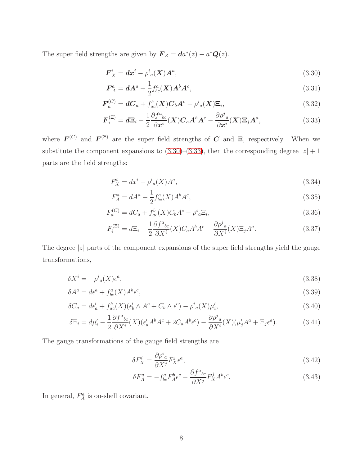The super field strengths are given by  $\boldsymbol{F}_Z = \boldsymbol{d}a^*(z) - a^*\boldsymbol{Q}(z)$ .

<span id="page-8-0"></span>
$$
\boldsymbol{F}_X^i = \boldsymbol{dx}^i - \rho^i{}_a(\boldsymbol{X})\boldsymbol{A}^a,\tag{3.30}
$$

<span id="page-8-1"></span>
$$
\boldsymbol{F}_A^a = \boldsymbol{d} \boldsymbol{A}^a + \frac{1}{2} f_{bc}^a(\boldsymbol{X}) \boldsymbol{A}^b \boldsymbol{A}^c,\tag{3.31}
$$

$$
\boldsymbol{F}_a^{(C)} = d\boldsymbol{C}_a + f_{ac}^b(\boldsymbol{X})\boldsymbol{C}_b\boldsymbol{A}^c - \rho^i{}_a(\boldsymbol{X})\boldsymbol{\Xi}_i,\tag{3.32}
$$

$$
\boldsymbol{F}_{i}^{(\Xi)} = d\Xi_{i} - \frac{1}{2} \frac{\partial f^{a}_{bc}}{\partial x^{i}} (\boldsymbol{X}) \boldsymbol{C}_{a} \boldsymbol{A}^{b} \boldsymbol{A}^{c} - \frac{\partial \rho^{j}_{a}}{\partial x^{i}} (\boldsymbol{X}) \Xi_{j} \boldsymbol{A}^{a}, \qquad (3.33)
$$

where  $\boldsymbol{F}^{(C)}$  and  $\boldsymbol{F}^{(\Xi)}$  are the super field strengths of C and  $\Xi$ , respectively. When we substitute the component expansions to  $(3.30)$ – $(3.33)$ , then the corresponding degree  $|z| + 1$ parts are the field strengths:

$$
F_X^i = dx^i - \rho^i{}_a(X)A^a,\tag{3.34}
$$

$$
F_A^a = dA^a + \frac{1}{2} f_{bc}^a(X) A^b A^c,
$$
\n(3.35)

$$
F_a^{(C)} = dC_a + f_{ac}^b(X)C_bA^c - \rho^i{}_a\Xi_i,
$$
\n(3.36)

$$
F_i^{(\Xi)} = d\Xi_i - \frac{1}{2} \frac{\partial f^a{}_{bc}}{\partial X^i}(X) C_a A^b A^c - \frac{\partial \rho^j{}_{a}}{\partial X^i}(X) \Xi_j A^a. \tag{3.37}
$$

The degree  $|z|$  parts of the component expansions of the super field strengths yield the gauge transformations,

$$
\delta X^i = -\rho^i{}_a(X)\epsilon^a,\tag{3.38}
$$

$$
\delta A^a = d\epsilon^a + f^a_{bc}(X) A^b \epsilon^c,\tag{3.39}
$$

$$
\delta C_a = d\epsilon'_a + f_{ac}^b(X)(\epsilon'_b \wedge A^c + C_b \wedge \epsilon^c) - \rho^i{}_a(X)\mu'_i,
$$
\n(3.40)

$$
\delta \Xi_i = d\mu'_i - \frac{1}{2} \frac{\partial f^a{}_{bc}}{\partial X^i} (X) (\epsilon'_a A^b A^c + 2C_a A^b \epsilon^c) - \frac{\partial \rho^j{}_{a}}{\partial X^i} (X) (\mu'_j A^a + \Xi_j \epsilon^a). \tag{3.41}
$$

The gauge transformations of the gauge field strengths are

$$
\delta F_X^i = \frac{\partial \rho^i}{\partial X^j} F_X^j \epsilon^a,\tag{3.42}
$$

$$
\delta F_A^a = -f_{bc}^a F_A^b \epsilon^c - \frac{\partial f^a{}_{bc}}{\partial X^j} F_X^j A^b \epsilon^c.
$$
\n(3.43)

In general,  $F_A^a$  is on-shell covariant.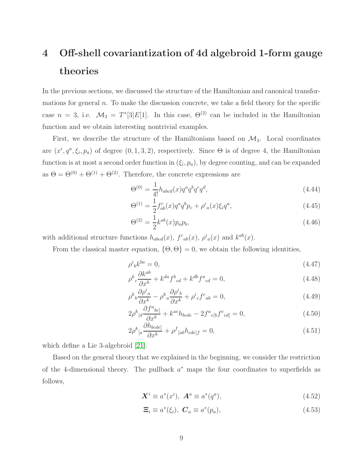# <span id="page-9-0"></span>4 Off-shell covariantization of 4d algebroid 1-form gauge theories

In the previous sections, we discussed the structure of the Hamiltonian and canonical transformations for general  $n$ . To make the discussion concrete, we take a field theory for the specific case  $n = 3$ , i.e.  $\mathcal{M}_3 = T^*[3]E[1]$ . In this case,  $\Theta^{(2)}$  can be included in the Hamiltonian function and we obtain interesting nontrivial examples.

First, we describe the structure of the Hamiltonians based on  $\mathcal{M}_3$ . Local coordinates are  $(x^i, q^a, \xi_i, p_a)$  of degree  $(0, 1, 3, 2)$ , respectively. Since  $\Theta$  is of degree 4, the Hamiltonian function is at most a second order function in  $(\xi_i, p_a)$ , by degree counting, and can be expanded as  $\Theta = \Theta^{(0)} + \Theta^{(1)} + \Theta^{(2)}$ . Therefore, the concrete expressions are

$$
\Theta^{(0)} = \frac{1}{4!} h_{abcd}(x) q^a q^b q^c q^d, \qquad (4.44)
$$

$$
\Theta^{(1)} = \frac{1}{2} f_{ab}^c(x) q^a q^b p_c + \rho^i{}_a(x) \xi_i q^a,\tag{4.45}
$$

$$
\Theta^{(2)} = \frac{1}{2} k^{ab}(x) p_a p_b,\tag{4.46}
$$

with additional structure functions  $h_{abcd}(x)$ ,  $f^c{}_{ab}(x)$ ,  $\rho^i{}_{a}(x)$  and  $k^{ab}(x)$ .

From the classical master equation,  $\{\Theta, \Theta\} = 0$ , we obtain the following identities,

$$
\rho^i{}_b k^{ba} = 0,\tag{4.47}
$$

$$
\rho^k{}_c \frac{\partial k^{ab}}{\partial x^k} + k^{da} f^b{}_{cd} + k^{db} f^a{}_{cd} = 0,\tag{4.48}
$$

$$
\rho^k{}_b \frac{\partial \rho^i{}_a}{\partial x^k} - \rho^k{}_a \frac{\partial \rho^i{}_b}{\partial x^k} + \rho^i{}_c f^c{}_{ab} = 0,\tag{4.49}
$$

$$
2\rho^{k}{}_{[d}\frac{\partial f^{a}{}_{bc]}}{\partial x^{k}} + k^{ae}h_{bcde} - 2f^{a}{}_{e[b}f^{e}{}_{cd]} = 0, \qquad (4.50)
$$

$$
2\rho^{k}{}_{[a}\frac{\partial h_{bcde}}{\partial x^{k}} + \rho^{f}{}_{[ab}h_{cde]f} = 0, \qquad (4.51)
$$

which define a Lie 3-algebroid [\[21\]](#page-23-4).

Based on the general theory that we explained in the beginning, we consider the restriction of the 4-dimensional theory. The pullback  $a^*$  maps the four coordinates to superfields as follows,

$$
\mathbf{X}^i \equiv a^*(x^i), \ \mathbf{A}^a \equiv a^*(q^a), \tag{4.52}
$$

$$
\Xi_i \equiv a^*(\xi_i), \ C_a \equiv a^*(p_a), \tag{4.53}
$$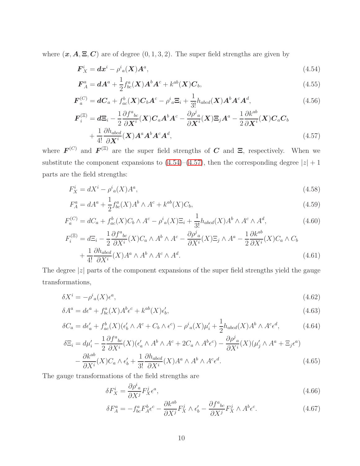where  $(x, A, \Xi, C)$  are of degree  $(0, 1, 3, 2)$ . The super field strengths are given by

<span id="page-10-0"></span>
$$
\boldsymbol{F}_X^i = \boldsymbol{dx}^i - \rho^i{}_a(\boldsymbol{X})\boldsymbol{A}^a,\tag{4.54}
$$

$$
\boldsymbol{F}_A^a = \boldsymbol{d} \boldsymbol{A}^a + \frac{1}{2} f_{bc}^a(\boldsymbol{X}) \boldsymbol{A}^b \boldsymbol{A}^c + k^{ab}(\boldsymbol{X}) \boldsymbol{C}_b, \tag{4.55}
$$

$$
\boldsymbol{F}_a^{(C)} = d\boldsymbol{C}_a + f_{ac}^b(\boldsymbol{X})\boldsymbol{C}_b\boldsymbol{A}^c - \rho^i{}_a\boldsymbol{\Xi}_i + \frac{1}{3!}h_{abcd}(\boldsymbol{X})\boldsymbol{A}^b\boldsymbol{A}^c\boldsymbol{A}^d,\tag{4.56}
$$

<span id="page-10-1"></span>
$$
\boldsymbol{F}_{i}^{(\Xi)} = d\Xi_{i} - \frac{1}{2} \frac{\partial f^{a}{}_{bc}}{\partial \boldsymbol{X}^{i}} (\boldsymbol{X}) \boldsymbol{C}_{a} \boldsymbol{A}^{b} \boldsymbol{A}^{c} - \frac{\partial \rho^{j}{}_{a}}{\partial \boldsymbol{X}^{i}} (\boldsymbol{X}) \Xi_{j} \boldsymbol{A}^{a} - \frac{1}{2} \frac{\partial k^{ab}}{\partial \boldsymbol{X}^{i}} (\boldsymbol{X}) \boldsymbol{C}_{a} \boldsymbol{C}_{b} + \frac{1}{4!} \frac{\partial h_{abcd}}{\partial \boldsymbol{X}^{i}} (\boldsymbol{X}) \boldsymbol{A}^{a} \boldsymbol{A}^{b} \boldsymbol{A}^{c} \boldsymbol{A}^{d},
$$
(4.57)

where  $\boldsymbol{F}^{(C)}$  and  $\boldsymbol{F}^{(\Xi)}$  are the super field strengths of C and  $\Xi$ , respectively. When we substitute the component expansions to  $(4.54)$ – $(4.57)$ , then the corresponding degree  $|z|+1$ parts are the field strengths:

$$
F_X^i = dX^i - \rho^i{}_a(X)A^a,\tag{4.58}
$$

$$
F_A^a = dA^a + \frac{1}{2} f_{bc}^a(X) A^b \wedge A^c + k^{ab}(X) C_b,
$$
\n(4.59)

$$
F_a^{(C)} = dC_a + f_{ac}^b(X)C_b \wedge A^c - \rho^i{}_a(X)\Xi_i + \frac{1}{3!}h_{abcd}(X)A^b \wedge A^c \wedge A^d,\tag{4.60}
$$

$$
F_i^{(\Xi)} = d\Xi_i - \frac{1}{2} \frac{\partial f^a{}_{bc}}{\partial X^i} (X) C_a \wedge A^b \wedge A^c - \frac{\partial \rho^j{}_{a}}{\partial X^i} (X) \Xi_j \wedge A^a - \frac{1}{2} \frac{\partial k^{ab}}{\partial X^i} (X) C_a \wedge C_b
$$
  
+ 
$$
\frac{1}{4!} \frac{\partial h_{abcd}}{\partial X^i} (X) A^a \wedge A^b \wedge A^c \wedge A^d.
$$
 (4.61)

The degree  $|z|$  parts of the component expansions of the super field strengths yield the gauge transformations,

$$
\delta X^i = -\rho^i{}_a(X)\epsilon^a,\tag{4.62}
$$

$$
\delta A^a = d\epsilon^a + f^a_{bc}(X)A^b\epsilon^c + k^{ab}(X)\epsilon'_b,
$$
\n(4.63)

$$
\delta C_a = d\epsilon'_a + f_{ac}^b(X)(\epsilon'_b \wedge A^c + C_b \wedge \epsilon^c) - \rho^i{}_a(X)\mu'_i + \frac{1}{2}h_{abcd}(X)A^b \wedge A^c\epsilon^d,\tag{4.64}
$$

$$
\delta \Xi_i = d\mu'_i - \frac{1}{2} \frac{\partial f^a{}_{bc}}{\partial X^i} (X) (\epsilon'_a \wedge A^b \wedge A^c + 2C_a \wedge A^b \epsilon^c) - \frac{\partial \rho^j{}_{a}}{\partial X^i} (X) (\mu'_j \wedge A^a + \Xi_j \epsilon^a) - \frac{\partial k^{ab}}{\partial X^i} (X) C_a \wedge \epsilon'_b + \frac{1}{3!} \frac{\partial h_{abcd}}{\partial X^i} (X) A^a \wedge A^b \wedge A^c \epsilon^d.
$$
\n(4.65)

The gauge transformations of the field strengths are

$$
\delta F_X^i = \frac{\partial \rho^i}{\partial X^j} F_X^j \epsilon^a,\tag{4.66}
$$

<span id="page-10-2"></span>
$$
\delta F_A^a = -f_{bc}^a F_A^b \epsilon^c - \frac{\partial k^{ab}}{\partial X^j} F_X^j \wedge \epsilon_b' - \frac{\partial f^a{}_{bc}}{\partial X^j} F_X^j \wedge A^b \epsilon^c.
$$
\n(4.67)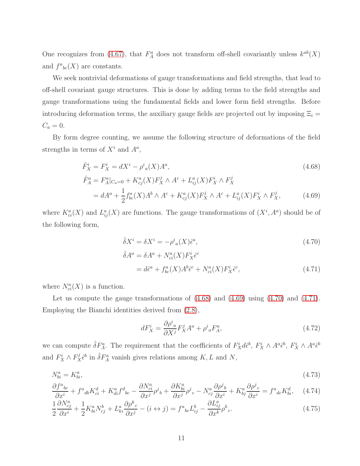One recognizes from [\(4.67\)](#page-10-2), that  $F_A^a$  does not transform off-shell covariantly unless  $k^{ab}(X)$ and  $f^a{}_{bc}(X)$  are constants.

We seek nontrivial deformations of gauge transformations and field strengths, that lead to off-shell covariant gauge structures. This is done by adding terms to the field strengths and gauge transformations using the fundamental fields and lower form field strengths. Before introducing deformation terms, the auxiliary gauge fields are projected out by imposing  $\Xi_i$  $C_a = 0.$ 

By form degree counting, we assume the following structure of deformations of the field strengths in terms of  $X^i$  and  $A^a$ ,

$$
\hat{F}_X^i = F_X^i = dX^i - \rho^i{}_a(X)A^a,
$$
\n
$$
\hat{F}_A^a = F_A^a|_{C_0} + K^a(X)F_X^j \wedge A^c + L^a((X)F_X^i \wedge F_X^j).
$$
\n(4.68)

$$
I_A^a = F_A^a|_{C_a=0} + K_{cj}^a(X)F_X^j \wedge A^c + L_{ij}^a(X)F_X^i \wedge F_X^j
$$
  
=  $dA^a + \frac{1}{2}f_{bc}^a(X)A^b \wedge A^c + K_{cj}^a(X)F_X^j \wedge A^c + L_{ij}^a(X)F_X^i \wedge F_X^j,$  (4.69)

where  $K^a_{ci}(X)$  and  $L^a_{ij}(X)$  are functions. The gauge transformations of  $(X^i, A^a)$  should be of the following form,

<span id="page-11-2"></span><span id="page-11-1"></span><span id="page-11-0"></span>
$$
\hat{\delta}X^i = \delta X^i = -\rho^i{}_a(X)\hat{\epsilon}^a,\tag{4.70}
$$

$$
\hat{\delta}A^a = \delta A^a + N^a_{ci}(X)F_X^i \hat{\epsilon}^c
$$
  
=  $d\hat{\epsilon}^a + f^a_{bc}(X)A^b \hat{\epsilon}^c + N^a_{ci}(X)F_X^i \hat{\epsilon}^c,$  (4.71)

where  $N_{ci}^{a}(X)$  is a function.

Let us compute the gauge transformations of  $(4.68)$  and  $(4.69)$  using  $(4.70)$  and  $(4.71)$ . Employing the Bianchi identities derived from [\(2.8\)](#page-4-1),

<span id="page-11-5"></span><span id="page-11-4"></span><span id="page-11-3"></span>
$$
dF_X^i = \frac{\partial \rho^i}{\partial X^j} F_X^j A^a + \rho^i{}_a F_A^a,\tag{4.72}
$$

we can compute  $\hat{\delta}F_A^a$ . The requirement that the coefficients of  $F_X^i d\hat{\epsilon}^b$ ,  $F_X^i \wedge A^a \hat{\epsilon}^b$ ,  $F_X^i \wedge A^a \hat{\epsilon}^b$ and  $F_X^i \wedge F_X^j \hat{e}^b$  in  $\hat{\delta} F_A^a$  vanish gives relations among K, L and N,

$$
N_{bi}^a = K_{bi}^a,\tag{4.73}
$$

$$
\frac{\partial f^{a}_{bc}}{\partial x^{i}} + f^{a}_{db} K^{d}_{ci} + K^{a}_{di} f^{d}_{bc} - \frac{\partial N^{a}_{ci}}{\partial x^{j}} \rho^{j}_{b} + \frac{\partial K^{a}_{bi}}{\partial x^{j}} \rho^{j}_{c} - N^{a}_{cj} \frac{\partial \rho^{j}_{b}}{\partial x^{i}} + K^{a}_{bj} \frac{\partial \rho^{j}_{c}}{\partial x^{i}} = f^{a}_{dc} K^{d}_{bi}, \quad (4.74)
$$

$$
\frac{1}{2}\frac{\partial N_{cj}^a}{\partial x^i} + \frac{1}{2}K_{bi}^a N_{cj}^b + L_{ki}^a \frac{\partial \rho^k}{\partial x^j} - (i \leftrightarrow j) = f^a{}_{bc} L_{ij}^b - \frac{\partial L_{ij}^a}{\partial x^k} \rho^k{}_c.
$$
\n(4.75)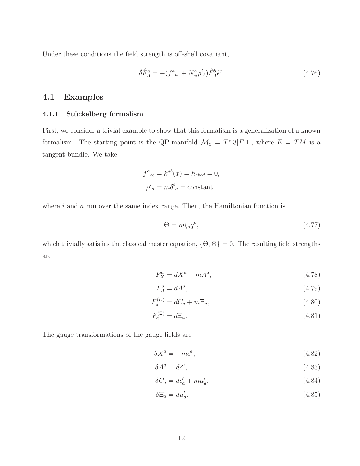Under these conditions the field strength is off-shell covariant,

$$
\hat{\delta}\hat{F}_A^a = -(f^a{}_{bc} + N^a_{ci}\rho^i{}_b)\hat{F}_A^b \hat{\epsilon}^c.
$$
\n(4.76)

### 4.1 Examples

#### 4.1.1 Stückelberg formalism

First, we consider a trivial example to show that this formalism is a generalization of a known formalism. The starting point is the QP-manifold  $\mathcal{M}_3 = T^*[3]E[1]$ , where  $E = TM$  is a tangent bundle. We take

$$
f^{a}_{bc} = k^{ab}(x) = h_{abcd} = 0,
$$
  

$$
\rho^{i}_{a} = m\delta^{i}_{a} = \text{constant},
$$

where  $i$  and  $a$  run over the same index range. Then, the Hamiltonian function is

$$
\Theta = m\xi_a q^a,\tag{4.77}
$$

which trivially satisfies the classical master equation,  $\{\Theta, \Theta\} = 0$ . The resulting field strengths are

$$
F_X^a = dX^a - mA^a,\tag{4.78}
$$

$$
F_A^a = dA^a,\tag{4.79}
$$

$$
F_a^{(C)} = dC_a + m\Xi_a,\tag{4.80}
$$

$$
F_a^{(\Xi)} = d\Xi_a. \tag{4.81}
$$

The gauge transformations of the gauge fields are

$$
\delta X^a = -m\epsilon^a,\tag{4.82}
$$

$$
\delta A^a = d\epsilon^a,\tag{4.83}
$$

$$
\delta C_a = d\epsilon'_a + m\mu'_a,\tag{4.84}
$$

$$
\delta \Xi_a = d\mu'_a. \tag{4.85}
$$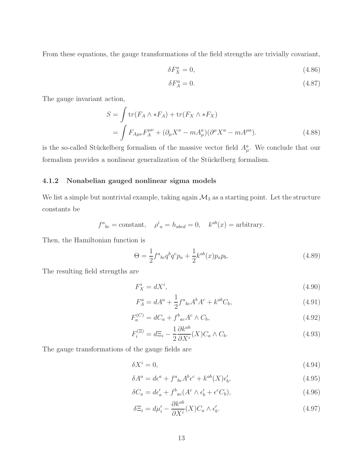From these equations, the gauge transformations of the field strengths are trivially covariant,

$$
\delta F_X^a = 0,\tag{4.86}
$$

$$
\delta F_A^a = 0.\tag{4.87}
$$

The gauge invariant action,

$$
S = \int \text{tr}(F_A \wedge *F_A) + \text{tr}(F_X \wedge *F_X)
$$
  
= 
$$
\int F_{A\mu\nu} F_A^{\mu\nu} + (\partial_\mu X^a - mA_\mu^a)(\partial^\mu X^a - mA^{\mu a}).
$$
 (4.88)

is the so-called Stückelberg formalism of the massive vector field  $A^a_\mu$ . We conclude that our formalism provides a nonlinear generalization of the Stückelberg formalism.

#### 4.1.2 Nonabelian gauged nonlinear sigma models

We list a simple but nontrivial example, taking again  $\mathcal{M}_3$  as a starting point. Let the structure constants be

$$
f^{a}_{bc}
$$
 = constant,  $\rho^{i}_{a} = h_{abcd} = 0$ ,  $k^{ab}(x) =$ arbitrary.

Then, the Hamiltonian function is

$$
\Theta = \frac{1}{2} f^a{}_{bc} q^b q^c p_a + \frac{1}{2} k^{ab}(x) p_a p_b. \tag{4.89}
$$

The resulting field strengths are

$$
F_X^i = dX^i,\tag{4.90}
$$

$$
F_A^a = dA^a + \frac{1}{2} f^a{}_{bc} A^b A^c + k^{ab} C_b,
$$
\n(4.91)

$$
F_a^{(C)} = dC_a + f^b{}_{ac} A^c \wedge C_b, \tag{4.92}
$$

$$
F_i^{(\Xi)} = d\Xi_i - \frac{1}{2} \frac{\partial k^{ab}}{\partial X^i}(X) C_a \wedge C_b.
$$
\n(4.93)

The gauge transformations of the gauge fields are

$$
\delta X^i = 0,\tag{4.94}
$$

$$
\delta A^a = d\epsilon^a + f^a{}_{bc} A^b \epsilon^c + k^{ab}(X) \epsilon'_b,\tag{4.95}
$$

$$
\delta C_a = d\epsilon'_a + f^b{}_{ac}(A^c \wedge \epsilon'_b + \epsilon^c C_b),\tag{4.96}
$$

$$
\delta \Xi_i = d\mu'_i - \frac{\partial k^{ao}}{\partial X^i}(X) C_a \wedge \epsilon'_b. \tag{4.97}
$$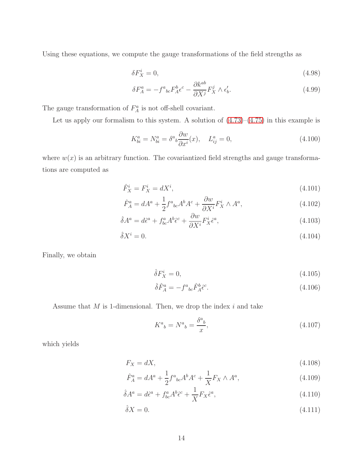Using these equations, we compute the gauge transformations of the field strengths as

$$
\delta F_X^i = 0,\tag{4.98}
$$

$$
\delta F_A^a = -f^a{}_{bc} F_A^b \epsilon^c - \frac{\partial k^{ab}}{\partial X^j} F_X^j \wedge \epsilon_b'.
$$
\n(4.99)

The gauge transformation of  $F_A^a$  is not off-shell covariant.

Let us apply our formalism to this system. A solution of  $(4.73)$ – $(4.75)$  in this example is

$$
K_{bi}^a = N_{bi}^a = \delta^a{}_b \frac{\partial w}{\partial x^i}(x), \quad L_{ij}^a = 0,
$$
\n(4.100)

where  $w(x)$  is an arbitrary function. The covariantized field strengths and gauge transformations are computed as

$$
\hat{F}_X^i = F_X^i = dX^i,\tag{4.101}
$$

$$
\hat{F}_A^a = dA^a + \frac{1}{2} f^a{}_{bc} A^b A^c + \frac{\partial w}{\partial X^i} F_X^i \wedge A^a,\tag{4.102}
$$

$$
\hat{\delta}A^{a} = d\hat{\epsilon}^{a} + f^{a}_{bc}A^{b}\hat{\epsilon}^{c} + \frac{\partial w}{\partial X^{i}}F_{X}^{i}\hat{\epsilon}^{a},\tag{4.103}
$$

$$
\hat{\delta}X^i = 0.\tag{4.104}
$$

Finally, we obtain

$$
\hat{\delta}F_X^i = 0,\tag{4.105}
$$

$$
\hat{\delta}\hat{F}_A^a = -f^a{}_{bc}\hat{F}_A^b\hat{\epsilon}^c. \tag{4.106}
$$

Assume that  $M$  is 1-dimensional. Then, we drop the index  $i$  and take

$$
K^a{}_b = N^a{}_b = \frac{\delta^a{}_b}{x},\tag{4.107}
$$

which yields

$$
F_X = dX,\tag{4.108}
$$

$$
\hat{F}_A^a = dA^a + \frac{1}{2} f^a{}_{bc} A^b A^c + \frac{1}{X} F_X \wedge A^a,\tag{4.109}
$$

$$
\hat{\delta}A^a = d\hat{\epsilon}^a + f^a_{bc}A^b\hat{\epsilon}^c + \frac{1}{X}F_X\hat{\epsilon}^a,\tag{4.110}
$$

$$
\hat{\delta}X = 0.\tag{4.111}
$$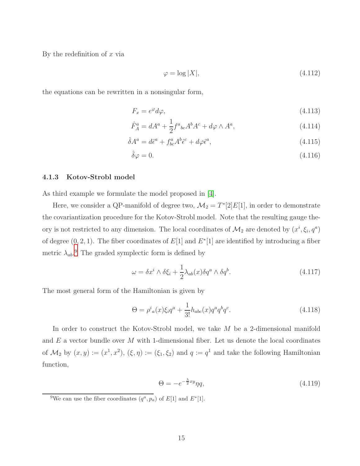By the redefinition of  $x$  via

$$
\varphi = \log |X|,\tag{4.112}
$$

the equations can be rewritten in a nonsingular form,

$$
F_x = e^{\varphi} d\varphi,\tag{4.113}
$$

$$
\hat{F}_A^a = dA^a + \frac{1}{2} f^a{}_{bc} A^b A^c + d\varphi \wedge A^a,\tag{4.114}
$$

$$
\hat{\delta}A^a = d\hat{\epsilon}^a + f^a_{bc}A^b\hat{\epsilon}^c + d\varphi\hat{\epsilon}^a,\tag{4.115}
$$

$$
\hat{\delta}\varphi = 0.\tag{4.116}
$$

#### 4.1.3 Kotov-Strobl model

As third example we formulate the model proposed in [\[4\]](#page-21-3).

Here, we consider a QP-manifold of degree two,  $\mathcal{M}_2 = T^*[2]E[1]$ , in order to demonstrate the covariantization procedure for the Kotov-Strobl model. Note that the resulting gauge theory is not restricted to any dimension. The local coordinates of  $\mathcal{M}_2$  are denoted by  $(x^i, \xi_i, q^a)$ of degree  $(0, 2, 1)$ . The fiber coordinates of  $E[1]$  and  $E^*[1]$  are identified by introducing a fiber metric  $\lambda_{ab}$ <sup>[9](#page-15-0)</sup>. The graded symplectic form is defined by

$$
\omega = \delta x^i \wedge \delta \xi_i + \frac{1}{2} \lambda_{ab}(x) \delta q^a \wedge \delta q^b. \tag{4.117}
$$

The most general form of the Hamiltonian is given by

$$
\Theta = \rho^i{}_a(x)\xi_i q^a + \frac{1}{3!}h_{abc}(x)q^a q^b q^c.
$$
\n(4.118)

In order to construct the Kotov-Strobl model, we take M be a 2-dimensional manifold and  $E$  a vector bundle over  $M$  with 1-dimensional fiber. Let us denote the local coordinates of  $\mathcal{M}_2$  by  $(x, y) := (x^1, x^2), (\xi, \eta) := (\xi_1, \xi_2)$  and  $q := q^1$  and take the following Hamiltonian function,

$$
\Theta = -e^{-\frac{\lambda}{2}xy}\eta q,\tag{4.119}
$$

<span id="page-15-0"></span><sup>&</sup>lt;sup>9</sup>We can use the fiber coordinates  $(q^a, p_a)$  of  $E[1]$  and  $E^*[1]$ .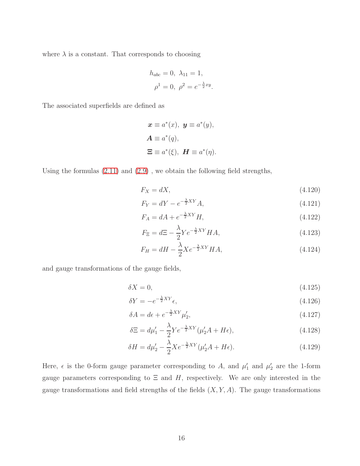where  $\lambda$  is a constant. That corresponds to choosing

$$
h_{abc} = 0, \ \lambda_{11} = 1,
$$
  

$$
\rho^1 = 0, \ \rho^2 = e^{-\frac{\lambda}{2}xy}.
$$

The associated superfields are defined as

$$
\mathbf{x} \equiv a^*(x), \ \mathbf{y} \equiv a^*(y),
$$

$$
\mathbf{A} \equiv a^*(q),
$$

$$
\mathbf{\Xi} \equiv a^*(\xi), \ \mathbf{H} \equiv a^*(\eta).
$$

Using the formulas  $(2.11)$  and  $(2.9)$ , we obtain the following field strengths,

$$
F_X = dX,\tag{4.120}
$$

$$
F_Y = dY - e^{-\frac{\lambda}{2}XY}A,\tag{4.121}
$$

$$
F_A = dA + e^{-\frac{\lambda}{2}XY}H,\tag{4.122}
$$

$$
F_{\Xi} = d\Xi - \frac{\lambda}{2} Y e^{-\frac{\lambda}{2} XY} H A,\tag{4.123}
$$

$$
F_H = dH - \frac{\lambda}{2} X e^{-\frac{\lambda}{2} XY} H A,\tag{4.124}
$$

and gauge transformations of the gauge fields,

$$
\delta X = 0,\tag{4.125}
$$

$$
\delta Y = -e^{-\frac{\lambda}{2}XY}\epsilon,\tag{4.126}
$$

$$
\delta A = d\epsilon + e^{-\frac{\lambda}{2}XY}\mu_2',\tag{4.127}
$$

$$
\delta \Xi = d\mu'_1 - \frac{\lambda}{2} Y e^{-\frac{\lambda}{2}XY} (\mu'_2 A + H\epsilon), \tag{4.128}
$$

$$
\delta H = d\mu_2' - \frac{\lambda}{2} X e^{-\frac{\lambda}{2} XY} (\mu_2' A + H \epsilon). \tag{4.129}
$$

Here,  $\epsilon$  is the 0-form gauge parameter corresponding to A, and  $\mu'_1$  and  $\mu'_2$  are the 1-form gauge parameters corresponding to  $\Xi$  and  $H$ , respectively. We are only interested in the gauge transformations and field strengths of the fields  $(X, Y, A)$ . The gauge transformations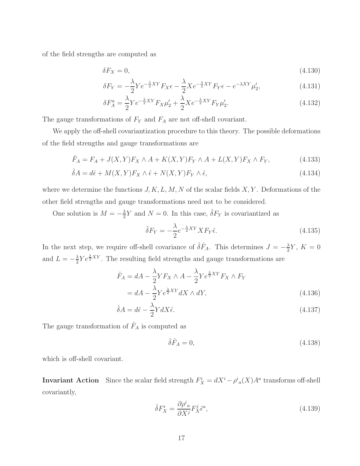of the field strengths are computed as

$$
\delta F_X = 0,\tag{4.130}
$$

$$
\delta F_Y = -\frac{\lambda}{2} Y e^{-\frac{\lambda}{2} XY} F_X \epsilon - \frac{\lambda}{2} X e^{-\frac{\lambda}{2} XY} F_Y \epsilon - e^{-\lambda XY} \mu_2', \tag{4.131}
$$

$$
\delta F_A^a = \frac{\lambda}{2} Y e^{-\frac{\lambda}{2} XY} F_X \mu_2' + \frac{\lambda}{2} X e^{-\frac{\lambda}{2} XY} F_Y \mu_2'. \tag{4.132}
$$

The gauge transformations of  $F_Y$  and  $F_A$  are not off-shell covariant.

We apply the off-shell covariantization procedure to this theory. The possible deformations of the field strengths and gauge transformations are

$$
\hat{F}_A = F_A + J(X, Y)F_X \wedge A + K(X, Y)F_Y \wedge A + L(X, Y)F_X \wedge F_Y,
$$
\n(4.133)

$$
\hat{\delta}A = d\hat{\epsilon} + M(X, Y)F_X \wedge \hat{\epsilon} + N(X, Y)F_Y \wedge \hat{\epsilon},\tag{4.134}
$$

where we determine the functions  $J, K, L, M, N$  of the scalar fields  $X, Y$ . Deformations of the other field strengths and gauge transformations need not to be considered.

One solution is  $M = -\frac{\lambda}{2}$  $\frac{\lambda}{2}Y$  and  $N=0$ . In this case,  $\hat{\delta}F_Y$  is covariantized as

$$
\hat{\delta}F_Y = -\frac{\lambda}{2}e^{-\frac{\lambda}{2}XY}XF_Y\hat{\epsilon}.\tag{4.135}
$$

In the next step, we require off-shell covariance of  $\hat{\delta}\hat{F}_A$ . This determines  $J = -\frac{\lambda}{2}$  $\frac{\lambda}{2}Y, K=0$ and  $L=-\frac{\lambda}{2}$  $\frac{\lambda}{2}Ye^{\frac{\lambda}{2}XY}$ . The resulting field strengths and gauge transformations are

$$
\hat{F}_A = dA - \frac{\lambda}{2} Y F_X \wedge A - \frac{\lambda}{2} Y e^{\frac{\lambda}{2} XY} F_X \wedge F_Y
$$
  
=  $dA - \frac{\lambda}{2} Y e^{\frac{\lambda}{2} XY} dX \wedge dY,$  (4.136)

$$
\hat{\delta}A = d\hat{\epsilon} - \frac{\lambda}{2} YdX\hat{\epsilon}.\tag{4.137}
$$

The gauge transformation of  $\hat{F}_A$  is computed as

$$
\hat{\delta}\hat{F}_A = 0,\tag{4.138}
$$

which is off-shell covariant.

**Invariant Action** Since the scalar field strength  $F_X^i = dX^i - \rho^i{}_a(X)A^a$  transforms off-shell covariantly,

$$
\hat{\delta}F_X^i = \frac{\partial \rho^i}{\partial X^j} F_X^j \hat{\epsilon}^a,\tag{4.139}
$$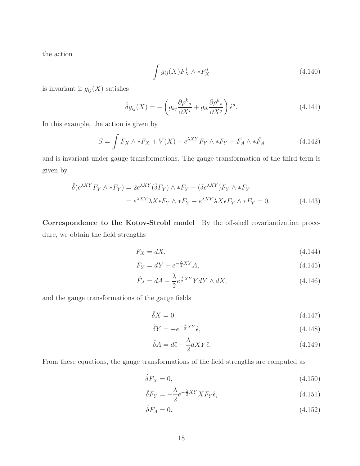the action

$$
\int g_{ij}(X)F_X^i \wedge *F_X^j \tag{4.140}
$$

is invariant if  $g_{ij}(X)$  satisfies

$$
\hat{\delta}g_{ij}(X) = -\left(g_{kj}\frac{\partial \rho^k_a}{\partial X^i} + g_{ik}\frac{\partial \rho^k_a}{\partial X^j}\right)\hat{\epsilon}^a.
$$
\n(4.141)

In this example, the action is given by

$$
S = \int F_X \wedge *F_X + V(X) + e^{\lambda XY} F_Y \wedge *F_Y + \hat{F}_A \wedge * \hat{F}_A \tag{4.142}
$$

and is invariant under gauge transformations. The gauge transformation of the third term is given by

$$
\hat{\delta}(e^{\lambda XY}F_Y \wedge *F_Y) = 2e^{\lambda XY}(\hat{\delta}F_Y) \wedge *F_Y - (\hat{\delta}e^{\lambda XY})F_Y \wedge *F_Y
$$

$$
= e^{\lambda XY} \lambda X \epsilon F_Y \wedge *F_Y - e^{\lambda XY} \lambda X \epsilon F_Y \wedge *F_Y = 0.
$$
(4.143)

Correspondence to the Kotov-Strobl model By the off-shell covariantization procedure, we obtain the field strengths

<span id="page-18-0"></span>
$$
F_X = dX,\t\t(4.144)
$$

$$
F_Y = dY - e^{-\frac{\lambda}{2}XY}A,\tag{4.145}
$$

$$
\hat{F}_A = dA + \frac{\lambda}{2} e^{\frac{\lambda}{2}XY} Y dY \wedge dX, \qquad (4.146)
$$

and the gauge transformations of the gauge fields

<span id="page-18-1"></span>
$$
\hat{\delta}X = 0,\tag{4.147}
$$

$$
\hat{\delta}Y = -e^{-\frac{\lambda}{2}XY}\hat{\epsilon},\tag{4.148}
$$

$$
\hat{\delta}A = d\hat{\epsilon} - \frac{\lambda}{2}dXY\hat{\epsilon}.\tag{4.149}
$$

From these equations, the gauge transformations of the field strengths are computed as

$$
\hat{\delta}F_X = 0,\tag{4.150}
$$

$$
\hat{\delta}F_Y = -\frac{\lambda}{2}e^{-\frac{\lambda}{2}XY}XF_Y\hat{\epsilon},\tag{4.151}
$$

$$
\hat{\delta}F_A = 0.\tag{4.152}
$$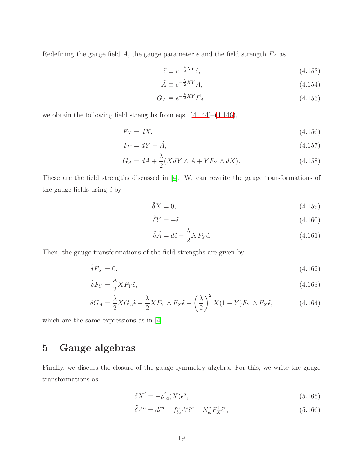Redefining the gauge field  $A,$  the gauge parameter  $\epsilon$  and the field strength  $F_A$  as

$$
\tilde{\epsilon} \equiv e^{-\frac{\lambda}{2}XY}\hat{\epsilon},\tag{4.153}
$$

$$
\tilde{A} \equiv e^{-\frac{\lambda}{2}XY}A,\tag{4.154}
$$

$$
G_A \equiv e^{-\frac{\lambda}{2}XY}\hat{F}_A,\tag{4.155}
$$

we obtain the following field strengths from eqs.  $(4.144)$ – $(4.146)$ ,

$$
F_X = dX,\tag{4.156}
$$

$$
F_Y = dY - \tilde{A},\tag{4.157}
$$

$$
G_A = d\tilde{A} + \frac{\lambda}{2} (XdY \wedge \tilde{A} + YF_Y \wedge dX).
$$
 (4.158)

These are the field strengths discussed in [\[4\]](#page-21-3). We can rewrite the gauge transformations of the gauge fields using  $\tilde{\epsilon}$  by

$$
\hat{\delta}X = 0,\tag{4.159}
$$

$$
\hat{\delta}Y = -\tilde{\epsilon},\tag{4.160}
$$

$$
\hat{\delta}\tilde{A} = d\tilde{\epsilon} - \frac{\lambda}{2} X F_Y \tilde{\epsilon}.
$$
\n(4.161)

Then, the gauge transformations of the field strengths are given by

$$
\hat{\delta}F_X = 0,\tag{4.162}
$$

$$
\hat{\delta}F_Y = \frac{\lambda}{2} X F_Y \tilde{\epsilon},\tag{4.163}
$$

$$
\hat{\delta}G_A = \frac{\lambda}{2} X G_A \tilde{\epsilon} - \frac{\lambda}{2} X F_Y \wedge F_X \tilde{\epsilon} + \left(\frac{\lambda}{2}\right)^2 X (1 - Y) F_Y \wedge F_X \tilde{\epsilon}, \tag{4.164}
$$

which are the same expressions as in [\[4\]](#page-21-3).

# 5 Gauge algebras

Finally, we discuss the closure of the gauge symmetry algebra. For this, we write the gauge transformations as

$$
\tilde{\delta}X^i = -\rho^i{}_a(X)\tilde{\epsilon}^a,\tag{5.165}
$$

$$
\tilde{\delta}A^{a} = d\tilde{\epsilon}^{a} + f^{a}_{bc}A^{b}\tilde{\epsilon}^{c} + N^{a}_{ci}F^{i}_{X}\tilde{\epsilon}^{c},
$$
\n(5.166)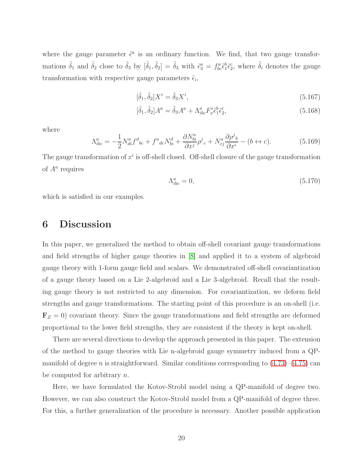where the gauge parameter  $\tilde{\epsilon}^a$  is an ordinary function. We find, that two gauge transformations  $\tilde{\delta}_1$  and  $\tilde{\delta}_2$  close to  $\tilde{\delta}_3$  by  $[\tilde{\delta}_1, \tilde{\delta}_2] = \tilde{\delta}_3$  with  $\tilde{\epsilon}_3^a = f_{bc}^a \tilde{\epsilon}_1^b \tilde{\epsilon}_2^c$ , where  $\tilde{\delta}_i$  denotes the gauge transformation with respective gauge parameters  $\tilde{\epsilon}_i$ ,

$$
[\tilde{\delta}_1, \tilde{\delta}_2]X^i = \tilde{\delta}_3 X^i,\tag{5.167}
$$

$$
[\tilde{\delta}_1, \tilde{\delta}_2]A^a = \tilde{\delta}_3 A^a + \Lambda^a_{abc} F^i_x \tilde{\epsilon}^b_1 \tilde{\epsilon}^c_2,\tag{5.168}
$$

where

$$
\Lambda_{ibc}^a = -\frac{1}{2} N_{di}^a f^d{}_{bc} + f^a{}_{dc} N_{bi}^d + \frac{\partial N_{bi}^a}{\partial x^j} \rho^j{}_{c} + N_{cj}^a \frac{\partial \rho^j{}_{b}}{\partial x^i} - (b \leftrightarrow c). \tag{5.169}
$$

The gauge transformation of  $x^i$  is off-shell closed. Off-shell closure of the gauge transformation of  $A^a$  requires

$$
\Lambda_{ibc}^a = 0,\tag{5.170}
$$

which is satisfied in our examples.

## 6 Discussion

In this paper, we generalized the method to obtain off-shell covariant gauge transformations and field strengths of higher gauge theories in [\[8\]](#page-22-1) and applied it to a system of algebroid gauge theory with 1-form gauge field and scalars. We demonstrated off-shell covariantization of a gauge theory based on a Lie 2-algebroid and a Lie 3-algebroid. Recall that the resulting gauge theory is not restricted to any dimension. For covariantization, we deform field strengths and gauge transformations. The starting point of this procedure is an on-shell (i.e.  $\mathbf{F}_Z = 0$ ) covariant theory. Since the gauge transformations and field strengths are deformed proportional to the lower field strengths, they are consistent if the theory is kept on-shell.

There are several directions to develop the approach presented in this paper. The extension of the method to gauge theories with Lie n-algebroid gauge symmetry induced from a QPmanifold of degree *n* is straightforward. Similar conditions corresponding to  $(4.73)$ – $(4.75)$  can be computed for arbitrary n.

Here, we have formulated the Kotov-Strobl model using a QP-manifold of degree two. However, we can also construct the Kotov-Strobl model from a QP-manifold of degree three. For this, a further generalization of the procedure is necessary. Another possible application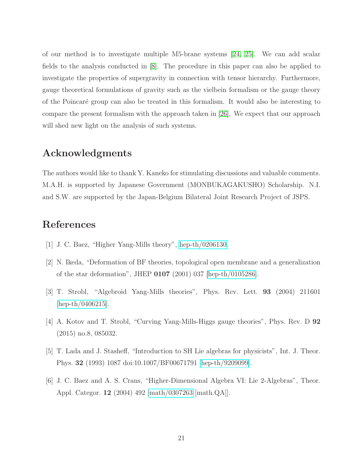of our method is to investigate multiple M5-brane systems [\[24,](#page-23-7) [25\]](#page-23-8). We can add scalar fields to the analysis conducted in [\[8\]](#page-22-1). The procedure in this paper can also be applied to investigate the properties of supergravity in connection with tensor hierarchy. Furthermore, gauge theoretical formulations of gravity such as the vielbein formalism or the gauge theory of the Poincar´e group can also be treated in this formalism. It would also be interesting to compare the present formalism with the approach taken in [\[26\]](#page-23-9). We expect that our approach will shed new light on the analysis of such systems.

## Acknowledgments

The authors would like to thank Y. Kaneko for stimulating discussions and valuable comments. M.A.H. is supported by Japanese Government (MONBUKAGAKUSHO) Scholarship. N.I. and S.W. are supported by the Japan-Belgium Bilateral Joint Research Project of JSPS.

# <span id="page-21-0"></span>References

- <span id="page-21-1"></span>[1] J. C. Baez, "Higher Yang-Mills theory", [hep-th/0206130.](http://arxiv.org/abs/hep-th/0206130)
- <span id="page-21-2"></span>[2] N. Ikeda, "Deformation of BF theories, topological open membrane and a generalization of the star deformation", JHEP 0107 (2001) 037 [\[hep-th/0105286\]](http://arxiv.org/abs/hep-th/0105286).
- <span id="page-21-3"></span>[3] T. Strobl, "Algebroid Yang-Mills theories", Phys. Rev. Lett. 93 (2004) 211601 [\[hep-th/0406215\]](http://arxiv.org/abs/hep-th/0406215).
- <span id="page-21-4"></span>[4] A. Kotov and T. Strobl, "Curving Yang-Mills-Higgs gauge theories", Phys. Rev. D 92 (2015) no.8, 085032.
- <span id="page-21-5"></span>[5] T. Lada and J. Stasheff, "Introduction to SH Lie algebras for physicists", Int. J. Theor. Phys. 32 (1993) 1087 doi:10.1007/BF00671791 [\[hep-th/9209099\]](http://arxiv.org/abs/hep-th/9209099).
- [6] J. C. Baez and A. S. Crans, "Higher-Dimensional Algebra VI: Lie 2-Algebras", Theor. Appl. Categor. 12 (2004) 492 [\[math/0307263](http://arxiv.org/abs/math/0307263) [math.QA]].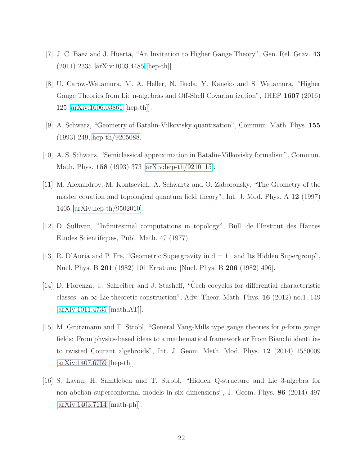- <span id="page-22-1"></span><span id="page-22-0"></span>[7] J. C. Baez and J. Huerta, "An Invitation to Higher Gauge Theory", Gen. Rel. Grav. 43 (2011) 2335 [\[arXiv:1003.4485](http://arxiv.org/abs/1003.4485) [hep-th]].
- [8] U. Carow-Watamura, M. A. Heller, N. Ikeda, Y. Kaneko and S. Watamura, "Higher Gauge Theories from Lie n-algebras and Off-Shell Covariantization", JHEP 1607 (2016) 125 [\[arXiv:1606.03861](http://arxiv.org/abs/1606.03861) [hep-th]].
- <span id="page-22-3"></span><span id="page-22-2"></span>[9] A. Schwarz, "Geometry of Batalin-Vilkovisky quantization", Commun. Math. Phys. 155 (1993) 249, [hep-th/9205088.](http://arxiv.org/abs/hep-th/9205088)
- <span id="page-22-4"></span>[10] A. S. Schwarz, "Semiclassical approximation in Batalin-Vilkovisky formalism", Commun. Math. Phys. 158 (1993) 373 [\[arXiv:hep-th/9210115\]](http://arxiv.org/abs/hep-th/9210115).
- [11] M. Alexandrov, M. Kontsevich, A. Schwartz and O. Zaboronsky, "The Geometry of the master equation and topological quantum field theory", Int. J. Mod. Phys. A 12 (1997) 1405 [\[arXiv:hep-th/9502010\]](http://arxiv.org/abs/hep-th/9502010).
- <span id="page-22-6"></span><span id="page-22-5"></span>[12] D. Sullivan, "Infinitesimal computations in topology", Bull. de l'Institut des Hautes Etudes Scientifiques, Publ. Math. 47 (1977)
- <span id="page-22-7"></span>[13] R. D'Auria and P. Fre, "Geometric Supergravity in d = 11 and Its Hidden Supergroup", Nucl. Phys. B 201 (1982) 101 Erratum: [Nucl. Phys. B 206 (1982) 496].
- [14] D. Fiorenza, U. Schreiber and J. Stasheff, "Cech cocycles for differential characteristic classes: an  $\infty$ -Lie theoretic construction", Adv. Theor. Math. Phys. 16 (2012) no.1, 149 [\[arXiv:1011.4735](http://arxiv.org/abs/1011.4735) [math.AT]].
- <span id="page-22-8"></span>[15] M. Grützmann and T. Strobl, "General Yang-Mills type gauge theories for  $p$ -form gauge fields: From physics-based ideas to a mathematical framework or From Bianchi identities to twisted Courant algebroids", Int. J. Geom. Meth. Mod. Phys. 12 (2014) 1550009 [\[arXiv:1407.6759](http://arxiv.org/abs/1407.6759) [hep-th]].
- <span id="page-22-9"></span>[16] S. Lavau, H. Samtleben and T. Strobl, "Hidden Q-structure and Lie 3-algebra for non-abelian superconformal models in six dimensions", J. Geom. Phys. 86 (2014) 497 [\[arXiv:1403.7114](http://arxiv.org/abs/1403.7114) [math-ph]].